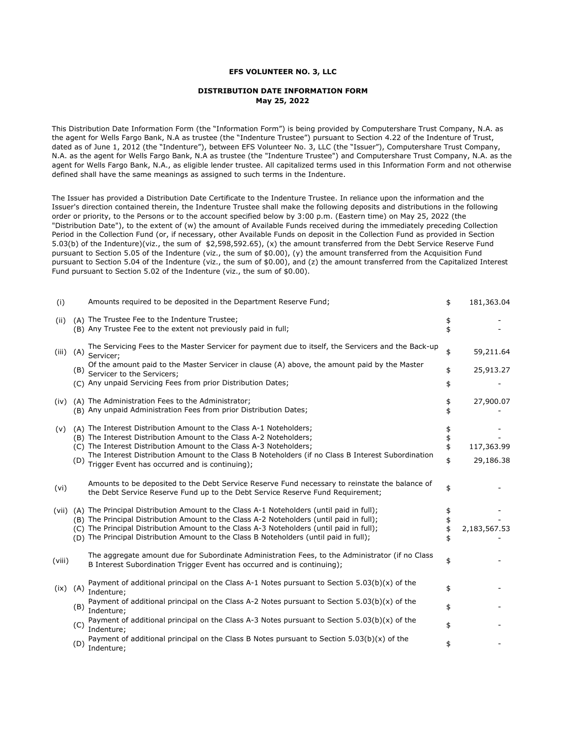## **EFS VOLUNTEER NO. 3, LLC**

## **DISTRIBUTION DATE INFORMATION FORM May 25, 2022**

This Distribution Date Information Form (the "Information Form") is being provided by Computershare Trust Company, N.A. as the agent for Wells Fargo Bank, N.A as trustee (the "Indenture Trustee") pursuant to Section 4.22 of the Indenture of Trust, dated as of June 1, 2012 (the "Indenture"), between EFS Volunteer No. 3, LLC (the "Issuer"), Computershare Trust Company, N.A. as the agent for Wells Fargo Bank, N.A as trustee (the "Indenture Trustee") and Computershare Trust Company, N.A. as the agent for Wells Fargo Bank, N.A., as eligible lender trustee. All capitalized terms used in this Information Form and not otherwise defined shall have the same meanings as assigned to such terms in the Indenture.

The Issuer has provided a Distribution Date Certificate to the Indenture Trustee. In reliance upon the information and the Issuer's direction contained therein, the Indenture Trustee shall make the following deposits and distributions in the following order or priority, to the Persons or to the account specified below by 3:00 p.m. (Eastern time) on May 25, 2022 (the "Distribution Date"), to the extent of (w) the amount of Available Funds received during the immediately preceding Collection Period in the Collection Fund (or, if necessary, other Available Funds on deposit in the Collection Fund as provided in Section 5.03(b) of the Indenture)(viz., the sum of \$2,598,592.65), (x) the amount transferred from the Debt Service Reserve Fund pursuant to Section 5.05 of the Indenture (viz., the sum of \$0.00), (y) the amount transferred from the Acquisition Fund pursuant to Section 5.04 of the Indenture (viz., the sum of \$0.00), and (z) the amount transferred from the Capitalized Interest Fund pursuant to Section 5.02 of the Indenture (viz., the sum of \$0.00).

| (i)    |                  | Amounts required to be deposited in the Department Reserve Fund;                                                                                                                                                                                                                                                                                                                 | \$             | 181,363.04              |
|--------|------------------|----------------------------------------------------------------------------------------------------------------------------------------------------------------------------------------------------------------------------------------------------------------------------------------------------------------------------------------------------------------------------------|----------------|-------------------------|
| (ii)   |                  | (A) The Trustee Fee to the Indenture Trustee;<br>(B) Any Trustee Fee to the extent not previously paid in full;                                                                                                                                                                                                                                                                  | \$             |                         |
| (iii)  | $(A)$ Servicer;  | The Servicing Fees to the Master Servicer for payment due to itself, the Servicers and the Back-up                                                                                                                                                                                                                                                                               | \$             | 59,211.64               |
|        |                  | Of the amount paid to the Master Servicer in clause (A) above, the amount paid by the Master<br>(B) Servicer to the Servicers;<br>(C) Any unpaid Servicing Fees from prior Distribution Dates;                                                                                                                                                                                   | \$<br>\$       | 25,913.27               |
|        |                  | (iv) (A) The Administration Fees to the Administrator;<br>(B) Any unpaid Administration Fees from prior Distribution Dates;                                                                                                                                                                                                                                                      | \$             | 27,900.07               |
| (v)    | (D)              | (A) The Interest Distribution Amount to the Class A-1 Noteholders;<br>(B) The Interest Distribution Amount to the Class A-2 Noteholders;<br>(C) The Interest Distribution Amount to the Class A-3 Noteholders;<br>The Interest Distribution Amount to the Class B Noteholders (if no Class B Interest Subordination<br>Trigger Event has occurred and is continuing);            | \$<br>\$<br>\$ | 117,363.99<br>29,186.38 |
| (vi)   |                  | Amounts to be deposited to the Debt Service Reserve Fund necessary to reinstate the balance of<br>the Debt Service Reserve Fund up to the Debt Service Reserve Fund Requirement;                                                                                                                                                                                                 | \$             |                         |
|        |                  | (vii) (A) The Principal Distribution Amount to the Class A-1 Noteholders (until paid in full);<br>(B) The Principal Distribution Amount to the Class A-2 Noteholders (until paid in full);<br>(C) The Principal Distribution Amount to the Class A-3 Noteholders (until paid in full);<br>(D) The Principal Distribution Amount to the Class B Noteholders (until paid in full); | \$<br>\$       | 2,183,567.53            |
| (viii) |                  | The aggregate amount due for Subordinate Administration Fees, to the Administrator (if no Class<br>B Interest Subordination Trigger Event has occurred and is continuing);                                                                                                                                                                                                       | \$             |                         |
| (ix)   | (A)              | Payment of additional principal on the Class A-1 Notes pursuant to Section $5.03(b)(x)$ of the<br>Indenture;                                                                                                                                                                                                                                                                     | \$             |                         |
|        | $(B)$ indenture; | Payment of additional principal on the Class A-2 Notes pursuant to Section $5.03(b)(x)$ of the                                                                                                                                                                                                                                                                                   | \$             |                         |
|        | $(C)$ Indenture; | Payment of additional principal on the Class A-3 Notes pursuant to Section $5.03(b)(x)$ of the                                                                                                                                                                                                                                                                                   | \$             |                         |
|        | $(D)$ Indenture; | Payment of additional principal on the Class B Notes pursuant to Section $5.03(b)(x)$ of the                                                                                                                                                                                                                                                                                     | \$             |                         |